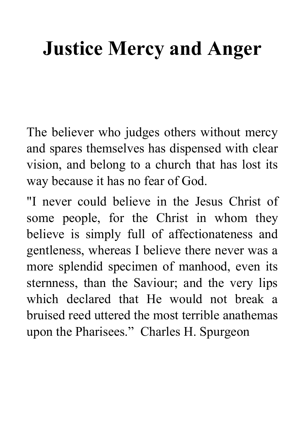# **Justice Mercy and Anger**

The believer who judges others without mercy and spares themselves has dispensed with clear vision, and belong to a church that has lost its way because it has no fear of God.

"I never could believe in the Jesus Christ of some people, for the Christ in whom they believe is simply full of affectionateness and gentleness, whereas I believe there never was a more splendid specimen of manhood, even its sternness, than the Saviour; and the very lips which declared that He would not break a bruised reed uttered the most terrible anathemas upon the Pharisees." Charles H. Spurgeon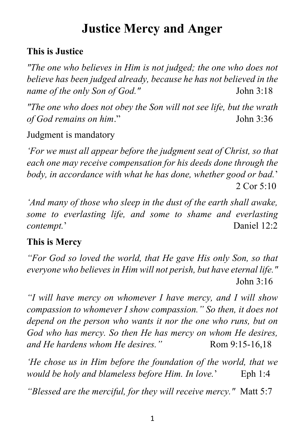# **Justice Mercy and Anger**

### **This is Justice**

*"The one who believes in Him is not judged; the one who does not believe has been judged already, because he has not believed in the name of the only Son of God."* John 3:18

*"The one who does not obey the Son will not see life, but the wrath of God remains on him*." John 3:36

Judgment is mandatory

*'For we must all appear before the judgment seat of Christ, so that each one may receive compensation for his deeds done through the body, in accordance with what he has done, whether good or bad.*' 2 Cor 5:10

*'And many of those who sleep in the dust of the earth shall awake, some to everlasting life, and some to shame and everlasting contempt.*' Daniel 12:2

### **This is Mercy**

*"For God so loved the world, that He gave His only Son, so that everyone who believes in Him will not perish, but have eternal life."* John 3:16

*"I will have mercy on whomever I have mercy, and I will show compassion to whomever I show compassion." So then, it does not depend on the person who wants it nor the one who runs, but on God who has mercy. So then He has mercy on whom He desires, and He hardens whom He desires.*" Rom 9:15-16,18

*'He chose us in Him before the foundation of the world, that we would be holy and blameless before Him. In love.*' Eph 1:4

*"Blessed are the merciful, for they will receive mercy."* Matt 5:7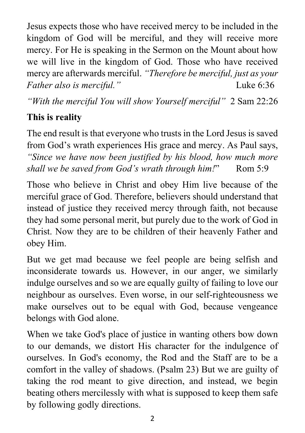Jesus expects those who have received mercy to be included in the kingdom of God will be merciful, and they will receive more mercy. For He is speaking in the Sermon on the Mount about how we will live in the kingdom of God. Those who have received mercy are afterwards merciful. *"Therefore be merciful, just as your Father also is merciful.*" [Luke 6:36](https://biblia.com/bible/nkjv/Luke%206.36)

*"With the merciful You will show Yourself merciful"* [2 Sam](https://biblia.com/bible/nkjv/2%20Sam%2022.26) 22:26

# **This is reality**

The end result is that everyone who trusts in the Lord Jesus is saved from God's wrath experiences His grace and mercy. As Paul says, *"Since we have now been justified by his blood, how much more shall we be saved from God's wrath through him!"* Rom 5:9

Those who believe in Christ and obey Him live because of the merciful grace of God. Therefore, believers should understand that instead of justice they received mercy through faith, not because they had some personal merit, but purely due to the work of God in Christ. Now they are to be children of their heavenly Father and obey Him.

But we get mad because we feel people are being selfish and inconsiderate towards us. However, in our anger, we similarly indulge ourselves and so we are equally guilty of failing to love our neighbour as ourselves. Even worse, in our self-righteousness we make ourselves out to be equal with God, because vengeance belongs with God alone.

When we take God's place of justice in wanting others bow down to our demands, we distort His character for the indulgence of ourselves. In God's economy, the Rod and the Staff are to be a comfort in the valley of shadows. (Psalm 23) But we are guilty of taking the rod meant to give direction, and instead, we begin beating others mercilessly with what is supposed to keep them safe by following godly directions.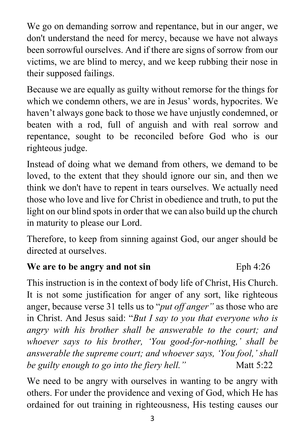We go on demanding sorrow and repentance, but in our anger, we don't understand the need for mercy, because we have not always been sorrowful ourselves. And if there are signs of sorrow from our victims, we are blind to mercy, and we keep rubbing their nose in their supposed failings.

Because we are equally as guilty without remorse for the things for which we condemn others, we are in Jesus' words, hypocrites. We haven't always gone back to those we have unjustly condemned, or beaten with a rod, full of anguish and with real sorrow and repentance, sought to be reconciled before God who is our righteous judge.

Instead of doing what we demand from others, we demand to be loved, to the extent that they should ignore our sin, and then we think we don't have to repent in tears ourselves. We actually need those who love and live for Christ in obedience and truth, to put the light on our blind spots in order that we can also build up the church in maturity to please our Lord.

Therefore, to keep from sinning against God, our anger should be directed at ourselves.

#### **We are to be angry and not sin** Eph 4:26

This instruction is in the context of body life of Christ, His Church. It is not some justification for anger of any sort, like righteous anger, because verse 31 tells us to "*put off anger"* as those who are in Christ. And Jesus said: "*But I say to you that everyone who is angry with his brother shall be answerable to the court; and whoever says to his brother, 'You good-for-nothing,' shall be answerable the supreme court; and whoever says, 'You fool,' shall be guilty enough to go into the fiery hell.*" Matt 5:22

We need to be angry with ourselves in wanting to be angry with others. For under the providence and vexing of God, which He has ordained for out training in righteousness, His testing causes our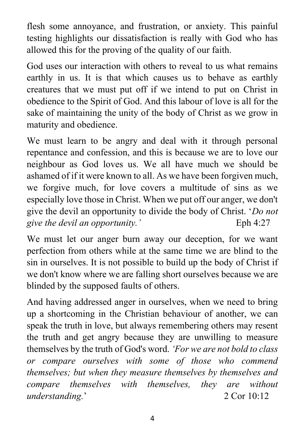flesh some annoyance, and frustration, or anxiety. This painful testing highlights our dissatisfaction is really with God who has allowed this for the proving of the quality of our faith.

God uses our interaction with others to reveal to us what remains earthly in us. It is that which causes us to behave as earthly creatures that we must put off if we intend to put on Christ in obedience to the Spirit of God. And this labour of love is all for the sake of maintaining the unity of the body of Christ as we grow in maturity and obedience.

We must learn to be angry and deal with it through personal repentance and confession, and this is because we are to love our neighbour as God loves us. We all have much we should be ashamed of if it were known to all. As we have been forgiven much, we forgive much, for love covers a multitude of sins as we especially love those in Christ. When we put off our anger, we don't give the devil an opportunity to divide the body of Christ. '*Do not give the devil an opportunity.'* Eph 4:27

We must let our anger burn away our deception, for we want perfection from others while at the same time we are blind to the sin in ourselves. It is not possible to build up the body of Christ if we don't know where we are falling short ourselves because we are blinded by the supposed faults of others.

And having addressed anger in ourselves, when we need to bring up a shortcoming in the Christian behaviour of another, we can speak the truth in love, but always remembering others may resent the truth and get angry because they are unwilling to measure themselves by the truth of God's word. *'For we are not bold to class or compare ourselves with some of those who commend themselves; but when they measure themselves by themselves and compare themselves with themselves, they are without understanding.*' 2 Cor 10:12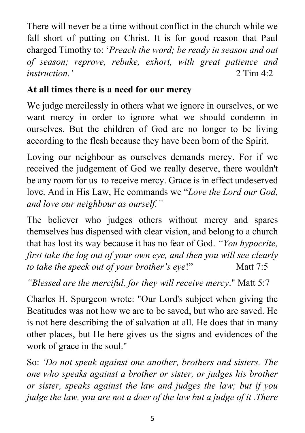There will never be a time without conflict in the church while we fall short of putting on Christ. It is for good reason that Paul charged Timothy to: '*Preach the word; be ready in season and out of season; reprove, rebuke, exhort, with great patience and instruction*,  $\overline{2}$  Tim 4.2

# **At all times there is a need for our mercy**

We judge mercilessly in others what we ignore in ourselves, or we want mercy in order to ignore what we should condemn in ourselves. But the children of God are no longer to be living according to the flesh because they have been born of the Spirit.

Loving our neighbour as ourselves demands mercy. For if we received the judgement of God we really deserve, there wouldn't be any room for us to receive mercy. Grace is in effect undeserved love. And in His Law, He commands we "*Love the Lord our God, and love our neighbour as ourself."*

The believer who judges others without mercy and spares themselves has dispensed with clear vision, and belong to a church that has lost its way because it has no fear of God. *"You hypocrite, first take the log out of your own eye, and then you will see clearly to take the speck out of your brother's eye!"* Matt 7:5

*"Blessed are the merciful, for they will receive mercy*." Matt 5:7

Charles H. Spurgeon wrote: "Our Lord's subject when giving the Beatitudes was not how we are to be saved, but who are saved. He is not here describing the of salvation at all. He does that in many other places, but He here gives us the signs and evidences of the work of grace in the soul."

So: *'Do not speak against one another, brothers and sisters. The one who speaks against a brother or sister, or judges his brother or sister, speaks against the law and judges the law; but if you judge the law, you are not a doer of the law but a judge of it .There*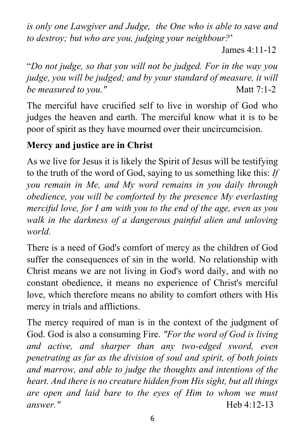*is only one Lawgiver and Judge, the One who is able to save and to destroy; but who are you, judging your neighbour?*'

Iames  $4.11-12$ 

"*Do not judge, so that you will not be judged. For in the way you judge, you will be judged; and by your standard of measure, it will be measured to you."* Matt 7:1-2

The merciful have crucified self to live in worship of God who judges the heaven and earth. The merciful know what it is to be poor of spirit as they have mourned over their uncircumcision.

# **Mercy and justice are in Christ**

As we live for Jesus it is likely the Spirit of Jesus will be testifying to the truth of the word of God, saying to us something like this: *If you remain in Me, and My word remains in you daily through obedience, you will be comforted by the presence My everlasting merciful love, for I am with you to the end of the age, even as you walk in the darkness of a dangerous painful alien and unloving world.*

There is a need of God's comfort of mercy as the children of God suffer the consequences of sin in the world. No relationship with Christ means we are not living in God's word daily, and with no constant obedience, it means no experience of Christ's merciful love, which therefore means no ability to comfort others with His mercy in trials and afflictions.

The mercy required of man is in the context of the judgment of God. God is also a consuming Fire. *"For the word of God is living and active, and sharper than any two-edged sword, even penetrating as far as the division of soul and spirit, of both joints and marrow, and able to judge the thoughts and intentions of the heart. And there is no creature hidden from His sight, but all things are open and laid bare to the eyes of Him to whom we must answer."* Heb 4:12-13